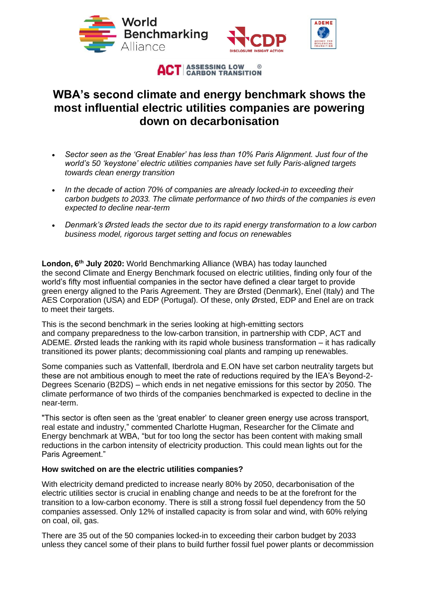

**ACT** ASSESSING LOW &

## **WBA's second climate and energy benchmark shows the most influential electric utilities companies are powering down on decarbonisation**

- *Sector seen as the 'Great Enabler' has less than 10% Paris Alignment. Just four of the world's 50 'keystone' electric utilities companies have set fully Paris-aligned targets towards clean energy transition*
- *In the decade of action 70% of companies are already locked-in to exceeding their carbon budgets to 2033. The climate performance of two thirds of the companies is even expected to decline near-term*
- *Denmark's Ørsted leads the sector due to its rapid energy transformation to a low carbon business model, rigorous target setting and focus on renewables*

**London, 6th July 2020:** World Benchmarking Alliance (WBA) has today launched the second Climate and Energy Benchmark focused on electric utilities, finding only four of the world's fifty most influential companies in the sector have defined a clear target to provide green energy aligned to the Paris Agreement. They are Ørsted (Denmark), Enel (Italy) and The AES Corporation (USA) and EDP (Portugal). Of these, only Ørsted, EDP and Enel are on track to meet their targets.

This is the second benchmark in the series looking at high-emitting sectors and company preparedness to the low-carbon transition, in partnership with CDP, ACT and ADEME. Ørsted leads the ranking with its rapid whole business transformation – it has radically transitioned its power plants; decommissioning coal plants and ramping up renewables.

Some companies such as Vattenfall, Iberdrola and E.ON have set carbon neutrality targets but these are not ambitious enough to meet the rate of reductions required by the IEA's Beyond-2- Degrees Scenario (B2DS) – which ends in net negative emissions for this sector by 2050. The climate performance of two thirds of the companies benchmarked is expected to decline in the near-term.

"This sector is often seen as the 'great enabler' to cleaner green energy use across transport, real estate and industry," commented Charlotte Hugman, Researcher for the Climate and Energy benchmark at WBA, "but for too long the sector has been content with making small reductions in the carbon intensity of electricity production. This could mean lights out for the Paris Agreement."

## **How switched on are the electric utilities companies?**

With electricity demand predicted to increase nearly 80% by 2050, decarbonisation of the electric utilities sector is crucial in enabling change and needs to be at the forefront for the transition to a low-carbon economy. There is still a strong fossil fuel dependency from the 50 companies assessed. Only 12% of installed capacity is from solar and wind, with 60% relying on coal, oil, gas.

There are 35 out of the 50 companies locked-in to exceeding their carbon budget by 2033 unless they cancel some of their plans to build further fossil fuel power plants or decommission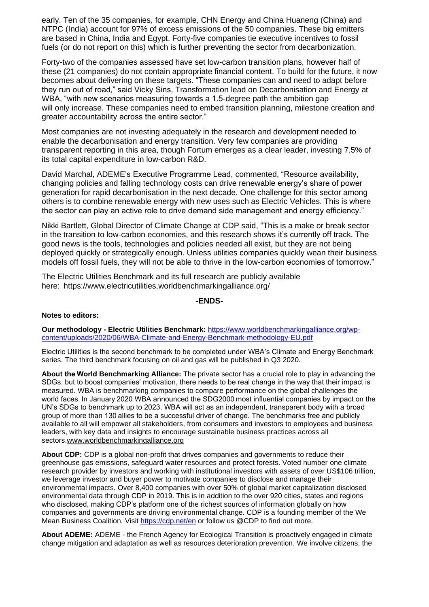early. Ten of the 35 companies, for example, CHN Energy and China Huaneng (China) and NTPC (India) account for 97% of excess emissions of the 50 companies. These big emitters are based in China, India and Egypt. Forty-five companies tie executive incentives to fossil fuels (or do not report on this) which is further preventing the sector from decarbonization.

Forty-two of the companies assessed have set low-carbon transition plans, however half of these (21 companies) do not contain appropriate financial content. To build for the future, it now becomes about delivering on these targets. "These companies can and need to adapt before they run out of road," said Vicky Sins, Transformation lead on Decarbonisation and Energy at WBA, "with new scenarios measuring towards a 1.5-degree path the ambition gap will only increase. These companies need to embed transition planning, milestone creation and greater accountability across the entire sector."

Most companies are not investing adequately in the research and development needed to enable the decarbonisation and energy transition. Very few companies are providing transparent reporting in this area, though Fortum emerges as a clear leader, investing 7.5% of its total capital expenditure in low-carbon R&D.

David Marchal, ADEME's Executive Programme Lead, commented, "Resource availability, changing policies and falling technology costs can drive renewable energy's share of power generation for rapid decarbonisation in the next decade. One challenge for this sector among others is to combine renewable energy with new uses such as Electric Vehicles. This is where the sector can play an active role to drive demand side management and energy efficiency."

Nikki Bartlett, Global Director of Climate Change at CDP said, "This is a make or break sector in the transition to low-carbon economies, and this research shows it's currently off track. The good news is the tools, technologies and policies needed all exist, but they are not being deployed quickly or strategically enough. Unless utilities companies quickly wean their business models off fossil fuels, they will not be able to thrive in the low-carbon economies of tomorrow."

The Electric Utilities Benchmark and its full research are publicly available here: https://www.electricutilities.worldbenchmarkingalliance.org/

**-ENDS-**

## **Notes to editors:**

**Our methodology - Electric Utilities Benchmark:** [https://www.worldbenchmarkingalliance.org/wp](https://www.worldbenchmarkingalliance.org/wp-content/uploads/2020/06/WBA-Climate-and-Energy-Benchmark-methodology-EU.pdf)[content/uploads/2020/06/WBA-Climate-and-Energy-Benchmark-methodology-EU.pdf](https://www.worldbenchmarkingalliance.org/wp-content/uploads/2020/06/WBA-Climate-and-Energy-Benchmark-methodology-EU.pdf)

Electric Utilities is the second benchmark to be completed under WBA's Climate and Energy Benchmark series. The third benchmark focusing on oil and gas will be published in Q3 2020.

**About the World Benchmarking Alliance:** The private sector has a crucial role to play in advancing the SDGs, but to boost companies' motivation, there needs to be real change in the way that their impact is measured. WBA is benchmarking companies to compare performance on the global challenges the world faces. In January 2020 WBA announced the SDG2000 most influential companies by impact on the UN's SDGs to benchmark up to 2023. WBA will act as an independent, transparent body with a broad group of more than 130 allies to be a successful driver of change. The benchmarks free and publicly available to all will empower all stakeholders, from consumers and investors to employees and business leaders, with key data and insights to encourage sustainable business practices across all sectors.www.worldbenchmarkingalliance.org  

**About CDP:** CDP is a global non-profit that drives companies and governments to reduce their greenhouse gas emissions, safeguard water resources and protect forests. Voted number one climate research provider by investors and working with institutional investors with assets of over US\$106 trillion, we leverage investor and buyer power to motivate companies to disclose and manage their environmental impacts. Over 8,400 companies with over 50% of global market capitalization disclosed environmental data through CDP in 2019. This is in addition to the over 920 cities, states and regions who disclosed, making CDP's platform one of the richest sources of information globally on how companies and governments are driving environmental change. CDP is a founding member of the We Mean Business Coalition. Visit <https://cdp.net/en> or follow us @CDP to find out more.

**About ADEME:** ADEME - the French Agency for Ecological Transition is proactively engaged in climate change mitigation and adaptation as well as resources deterioration prevention. We involve citizens, the